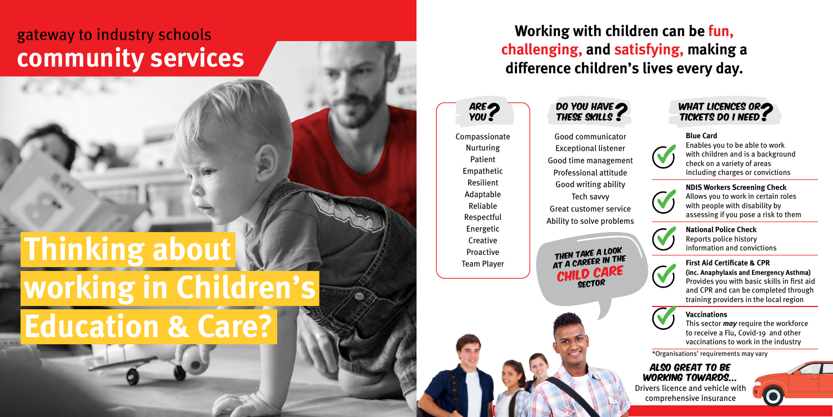## **Working with children can be fun, challenging, and satisfying, making a difference children's lives every day.**

ARE?

Compassionate Nurturing Patient Empathetic Resilient Adaptable Reliable Respectful Energetic **Creative** Proactive Team Player

Good communicator Exceptional listener Good time management Professional attitude Good writing ability Tech savvy Great customer service Ability to solve problems **Blue Card** Enables you to be able to work with children and is a background check on a variety of areas including charges or convictions



Then take a look THEN TAKE IN THE CHILD CARE **NDIS Workers Screening Check** Allows you to work in certain roles with people with disability by assessing if you pose a risk to them



**National Police Check** Reports police history information and convictions



**First Aid Certificate & CPR (inc. Anaphylaxis and Emergency Asthma)** Provides you with basic skills in first aid and CPR and can be completed through training providers in the local region



## **Vaccinations**

This sector *may* require the workforce to receive a Flu, Covid-19 and other vaccinations to work in the industry





Also great to be working towards... Drivers licence and vehicle with comprehensive insurance

\*Organisations' requirements may vary



## **Thinking about working in Children's Education & Care?**

## gateway to industry schools **community services**